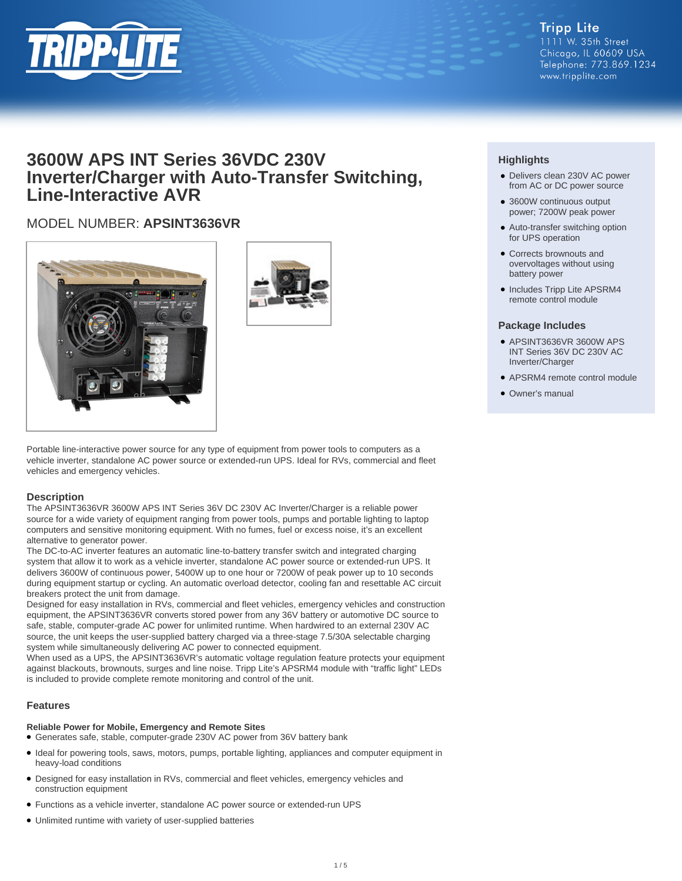

## **3600W APS INT Series 36VDC 230V Inverter/Charger with Auto-Transfer Switching, Line-Interactive AVR**

## MODEL NUMBER: **APSINT3636VR**





Portable line-interactive power source for any type of equipment from power tools to computers as a vehicle inverter, standalone AC power source or extended-run UPS. Ideal for RVs, commercial and fleet vehicles and emergency vehicles.

#### **Description**

The APSINT3636VR 3600W APS INT Series 36V DC 230V AC Inverter/Charger is a reliable power source for a wide variety of equipment ranging from power tools, pumps and portable lighting to laptop computers and sensitive monitoring equipment. With no fumes, fuel or excess noise, it's an excellent alternative to generator power.

The DC-to-AC inverter features an automatic line-to-battery transfer switch and integrated charging system that allow it to work as a vehicle inverter, standalone AC power source or extended-run UPS. It delivers 3600W of continuous power, 5400W up to one hour or 7200W of peak power up to 10 seconds during equipment startup or cycling. An automatic overload detector, cooling fan and resettable AC circuit breakers protect the unit from damage.

Designed for easy installation in RVs, commercial and fleet vehicles, emergency vehicles and construction equipment, the APSINT3636VR converts stored power from any 36V battery or automotive DC source to safe, stable, computer-grade AC power for unlimited runtime. When hardwired to an external 230V AC source, the unit keeps the user-supplied battery charged via a three-stage 7.5/30A selectable charging system while simultaneously delivering AC power to connected equipment.

When used as a UPS, the APSINT3636VR's automatic voltage regulation feature protects your equipment against blackouts, brownouts, surges and line noise. Tripp Lite's APSRM4 module with "traffic light" LEDs is included to provide complete remote monitoring and control of the unit.

#### **Features**

#### **Reliable Power for Mobile, Emergency and Remote Sites**

- Generates safe, stable, computer-grade 230V AC power from 36V battery bank
- Ideal for powering tools, saws, motors, pumps, portable lighting, appliances and computer equipment in heavy-load conditions
- Designed for easy installation in RVs, commercial and fleet vehicles, emergency vehicles and construction equipment
- Functions as a vehicle inverter, standalone AC power source or extended-run UPS
- Unlimited runtime with variety of user-supplied batteries

### **Highlights**

- Delivers clean 230V AC power from AC or DC power source
- 3600W continuous output power; 7200W peak power
- Auto-transfer switching option for UPS operation
- Corrects brownouts and overvoltages without using battery power
- Includes Tripp Lite APSRM4 remote control module

#### **Package Includes**

- APSINT3636VR 3600W APS INT Series 36V DC 230V AC Inverter/Charger
- APSRM4 remote control module
- Owner's manual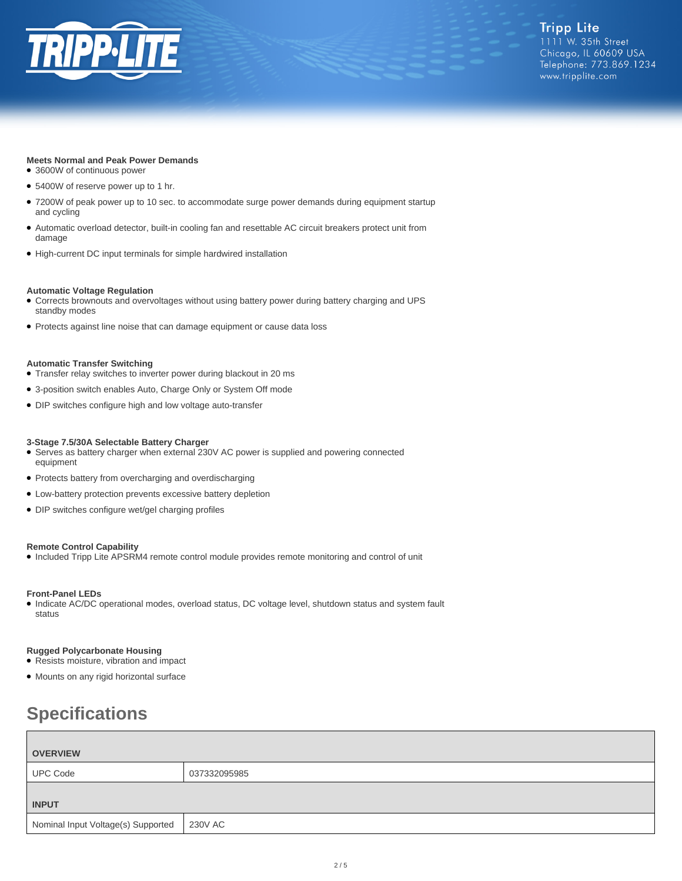

#### **Meets Normal and Peak Power Demands**

- 3600W of continuous power
- 5400W of reserve power up to 1 hr.
- 7200W of peak power up to 10 sec. to accommodate surge power demands during equipment startup and cycling
- Automatic overload detector, built-in cooling fan and resettable AC circuit breakers protect unit from damage
- High-current DC input terminals for simple hardwired installation

#### **Automatic Voltage Regulation**

- Corrects brownouts and overvoltages without using battery power during battery charging and UPS standby modes
- Protects against line noise that can damage equipment or cause data loss

#### **Automatic Transfer Switching**

- Transfer relay switches to inverter power during blackout in 20 ms
- 3-position switch enables Auto, Charge Only or System Off mode
- DIP switches configure high and low voltage auto-transfer

#### **3-Stage 7.5/30A Selectable Battery Charger**

- Serves as battery charger when external 230V AC power is supplied and powering connected equipment
- Protects battery from overcharging and overdischarging
- Low-battery protection prevents excessive battery depletion
- DIP switches configure wet/gel charging profiles

#### **Remote Control Capability**

● Included Tripp Lite APSRM4 remote control module provides remote monitoring and control of unit

#### **Front-Panel LEDs**

● Indicate AC/DC operational modes, overload status, DC voltage level, shutdown status and system fault status

#### **Rugged Polycarbonate Housing**

● Resists moisture, vibration and impact

● Mounts on any rigid horizontal surface

# **Specifications**

| <b>OVERVIEW</b>                    |              |  |
|------------------------------------|--------------|--|
| <b>UPC Code</b>                    | 037332095985 |  |
| <b>INPUT</b>                       |              |  |
| Nominal Input Voltage(s) Supported | 230V AC      |  |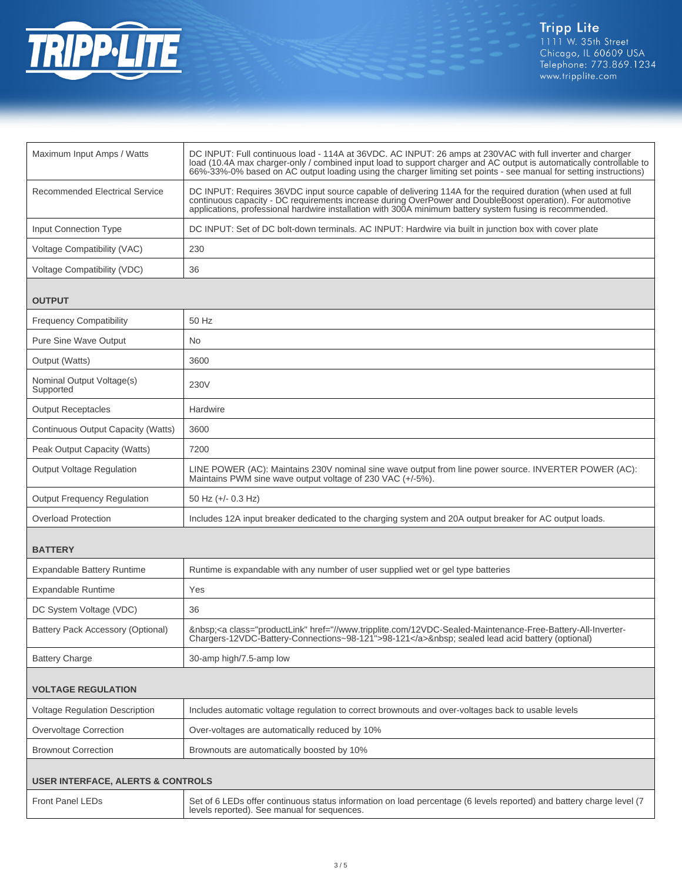

| Maximum Input Amps / Watts                   | DC INPUT: Full continuous load - 114A at 36VDC. AC INPUT: 26 amps at 230VAC with full inverter and charger<br>load (10.4A max charger-only / combined input load to support charger and AC output is automatically controllable to<br>66%-33%-0% based on AC output loading using the charger limiting set points - see manual for setting instructions) |  |
|----------------------------------------------|----------------------------------------------------------------------------------------------------------------------------------------------------------------------------------------------------------------------------------------------------------------------------------------------------------------------------------------------------------|--|
| <b>Recommended Electrical Service</b>        | DC INPUT: Requires 36VDC input source capable of delivering 114A for the required duration (when used at full<br>continuous capacity - DC requirements increase during OverPower and DoubleBoost operation). For automotive<br>applications, professional hardwire installation with 300A minimum battery system fusing is recommended.                  |  |
| <b>Input Connection Type</b>                 | DC INPUT: Set of DC bolt-down terminals. AC INPUT: Hardwire via built in junction box with cover plate                                                                                                                                                                                                                                                   |  |
| Voltage Compatibility (VAC)                  | 230                                                                                                                                                                                                                                                                                                                                                      |  |
| Voltage Compatibility (VDC)                  | 36                                                                                                                                                                                                                                                                                                                                                       |  |
| <b>OUTPUT</b>                                |                                                                                                                                                                                                                                                                                                                                                          |  |
| <b>Frequency Compatibility</b>               | 50 Hz                                                                                                                                                                                                                                                                                                                                                    |  |
| <b>Pure Sine Wave Output</b>                 | <b>No</b>                                                                                                                                                                                                                                                                                                                                                |  |
| Output (Watts)                               | 3600                                                                                                                                                                                                                                                                                                                                                     |  |
| Nominal Output Voltage(s)<br>Supported       | 230V                                                                                                                                                                                                                                                                                                                                                     |  |
| <b>Output Receptacles</b>                    | Hardwire                                                                                                                                                                                                                                                                                                                                                 |  |
| Continuous Output Capacity (Watts)           | 3600                                                                                                                                                                                                                                                                                                                                                     |  |
| Peak Output Capacity (Watts)                 | 7200                                                                                                                                                                                                                                                                                                                                                     |  |
| Output Voltage Regulation                    | LINE POWER (AC): Maintains 230V nominal sine wave output from line power source. INVERTER POWER (AC):<br>Maintains PWM sine wave output voltage of 230 VAC (+/-5%).                                                                                                                                                                                      |  |
| <b>Output Frequency Regulation</b>           | 50 Hz (+/- 0.3 Hz)                                                                                                                                                                                                                                                                                                                                       |  |
| <b>Overload Protection</b>                   | Includes 12A input breaker dedicated to the charging system and 20A output breaker for AC output loads.                                                                                                                                                                                                                                                  |  |
| <b>BATTERY</b>                               |                                                                                                                                                                                                                                                                                                                                                          |  |
| <b>Expandable Battery Runtime</b>            | Runtime is expandable with any number of user supplied wet or gel type batteries                                                                                                                                                                                                                                                                         |  |
| <b>Expandable Runtime</b>                    | Yes                                                                                                                                                                                                                                                                                                                                                      |  |
| DC System Voltage (VDC)                      | 36                                                                                                                                                                                                                                                                                                                                                       |  |
| Battery Pack Accessory (Optional)            | <a class="productLink" href="//www.tripplite.com/12VDC-Sealed-Maintenance-Free-Battery-All-Inverter-&lt;br&gt;Chargers-12VDC-Battery-Connections~98-121">98-121</a> sealed lead acid battery (optional)                                                                                                                                                  |  |
| <b>Battery Charge</b>                        | 30-amp high/7.5-amp low                                                                                                                                                                                                                                                                                                                                  |  |
| <b>VOLTAGE REGULATION</b>                    |                                                                                                                                                                                                                                                                                                                                                          |  |
| Voltage Regulation Description               | Includes automatic voltage regulation to correct brownouts and over-voltages back to usable levels                                                                                                                                                                                                                                                       |  |
| Overvoltage Correction                       | Over-voltages are automatically reduced by 10%                                                                                                                                                                                                                                                                                                           |  |
| <b>Brownout Correction</b>                   | Brownouts are automatically boosted by 10%                                                                                                                                                                                                                                                                                                               |  |
| <b>USER INTERFACE, ALERTS &amp; CONTROLS</b> |                                                                                                                                                                                                                                                                                                                                                          |  |
| <b>Front Panel LEDs</b>                      | Set of 6 LEDs offer continuous status information on load percentage (6 levels reported) and battery charge level (7<br>levels reported). See manual for sequences.                                                                                                                                                                                      |  |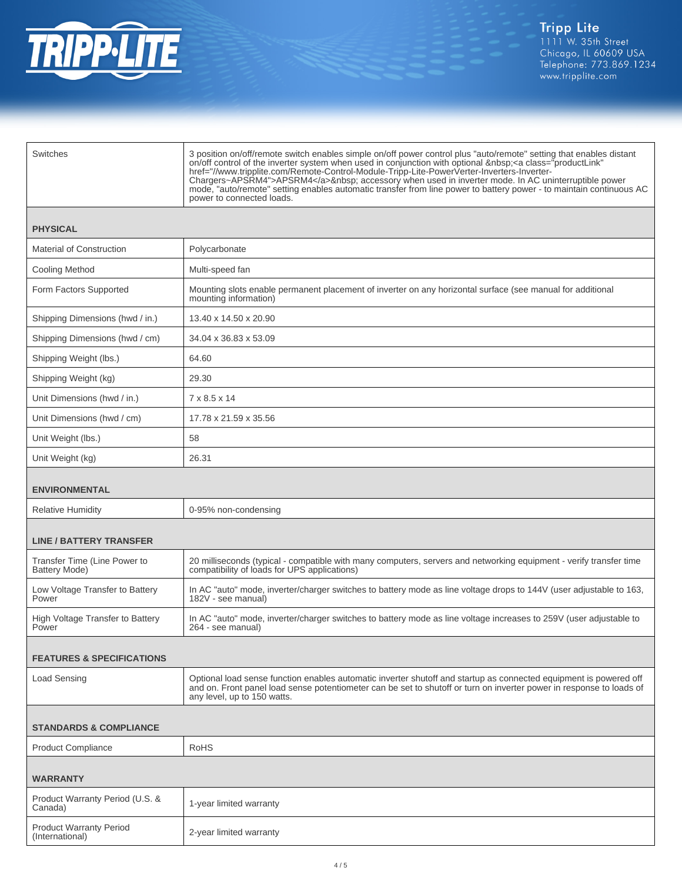

| Switches                                             | 3 position on/off/remote switch enables simple on/off power control plus "auto/remote" setting that enables distant<br>on/off control of the inverter system when used in conjunction with optional <a <br="" class="productLink">href="//www.tripplite.com/Remote-Control-Module-Tripp-Lite-PowerVerter-Inverters-Inverter-<br/>Chargers~APSRM4"&gt;APSRM4</a> accessory when used in inverter mode. In AC uninterruptible power<br>mode, "auto/remote" setting enables automatic transfer from line power to battery power - to maintain continuous AC<br>power to connected loads. |
|------------------------------------------------------|---------------------------------------------------------------------------------------------------------------------------------------------------------------------------------------------------------------------------------------------------------------------------------------------------------------------------------------------------------------------------------------------------------------------------------------------------------------------------------------------------------------------------------------------------------------------------------------|
| <b>PHYSICAL</b>                                      |                                                                                                                                                                                                                                                                                                                                                                                                                                                                                                                                                                                       |
| <b>Material of Construction</b>                      | Polycarbonate                                                                                                                                                                                                                                                                                                                                                                                                                                                                                                                                                                         |
| Cooling Method                                       | Multi-speed fan                                                                                                                                                                                                                                                                                                                                                                                                                                                                                                                                                                       |
| Form Factors Supported                               | Mounting slots enable permanent placement of inverter on any horizontal surface (see manual for additional<br>mounting information)                                                                                                                                                                                                                                                                                                                                                                                                                                                   |
| Shipping Dimensions (hwd / in.)                      | 13.40 x 14.50 x 20.90                                                                                                                                                                                                                                                                                                                                                                                                                                                                                                                                                                 |
| Shipping Dimensions (hwd / cm)                       | 34.04 x 36.83 x 53.09                                                                                                                                                                                                                                                                                                                                                                                                                                                                                                                                                                 |
| Shipping Weight (lbs.)                               | 64.60                                                                                                                                                                                                                                                                                                                                                                                                                                                                                                                                                                                 |
| Shipping Weight (kg)                                 | 29.30                                                                                                                                                                                                                                                                                                                                                                                                                                                                                                                                                                                 |
| Unit Dimensions (hwd / in.)                          | 7 x 8.5 x 14                                                                                                                                                                                                                                                                                                                                                                                                                                                                                                                                                                          |
| Unit Dimensions (hwd / cm)                           | 17.78 x 21.59 x 35.56                                                                                                                                                                                                                                                                                                                                                                                                                                                                                                                                                                 |
| Unit Weight (lbs.)                                   | 58                                                                                                                                                                                                                                                                                                                                                                                                                                                                                                                                                                                    |
| Unit Weight (kg)                                     | 26.31                                                                                                                                                                                                                                                                                                                                                                                                                                                                                                                                                                                 |
| <b>ENVIRONMENTAL</b>                                 |                                                                                                                                                                                                                                                                                                                                                                                                                                                                                                                                                                                       |
| <b>Relative Humidity</b>                             | 0-95% non-condensing                                                                                                                                                                                                                                                                                                                                                                                                                                                                                                                                                                  |
| <b>LINE / BATTERY TRANSFER</b>                       |                                                                                                                                                                                                                                                                                                                                                                                                                                                                                                                                                                                       |
| Transfer Time (Line Power to<br><b>Battery Mode)</b> | 20 milliseconds (typical - compatible with many computers, servers and networking equipment - verify transfer time<br>compatibility of loads for UPS applications)                                                                                                                                                                                                                                                                                                                                                                                                                    |
| Low Voltage Transfer to Battery<br>Power             | In AC "auto" mode, inverter/charger switches to battery mode as line voltage drops to 144V (user adjustable to 163,<br>182V - see manual)                                                                                                                                                                                                                                                                                                                                                                                                                                             |
| High Voltage Transfer to Battery<br>Power            | In AC "auto" mode, inverter/charger switches to battery mode as line voltage increases to 259V (user adjustable to<br>264 - see manual)                                                                                                                                                                                                                                                                                                                                                                                                                                               |
| <b>FEATURES &amp; SPECIFICATIONS</b>                 |                                                                                                                                                                                                                                                                                                                                                                                                                                                                                                                                                                                       |
| Load Sensing                                         | Optional load sense function enables automatic inverter shutoff and startup as connected equipment is powered off<br>and on. Front panel load sense potentiometer can be set to shutoff or turn on inverter power in response to loads of<br>any level, up to 150 watts.                                                                                                                                                                                                                                                                                                              |
| <b>STANDARDS &amp; COMPLIANCE</b>                    |                                                                                                                                                                                                                                                                                                                                                                                                                                                                                                                                                                                       |
| <b>Product Compliance</b>                            | <b>RoHS</b>                                                                                                                                                                                                                                                                                                                                                                                                                                                                                                                                                                           |
| <b>WARRANTY</b>                                      |                                                                                                                                                                                                                                                                                                                                                                                                                                                                                                                                                                                       |
| Product Warranty Period (U.S. &<br>Canada)           | 1-year limited warranty                                                                                                                                                                                                                                                                                                                                                                                                                                                                                                                                                               |
| <b>Product Warranty Period</b><br>(International)    | 2-year limited warranty                                                                                                                                                                                                                                                                                                                                                                                                                                                                                                                                                               |